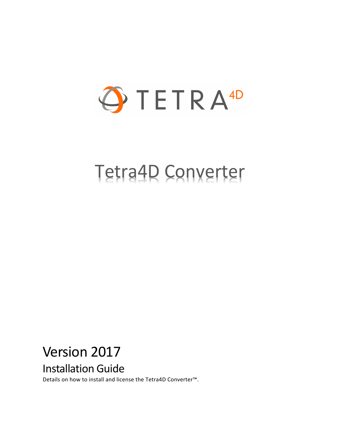

# Tetra4D Converter

# Version 2017

Installation Guide

Details on how to install and license the Tetra4D Converter™.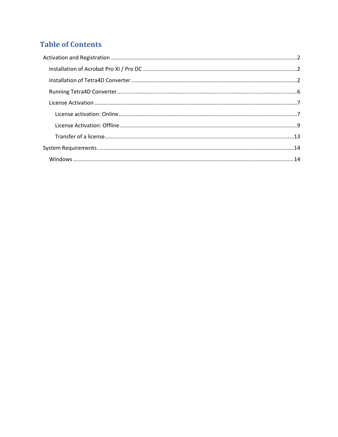## **Table of Contents**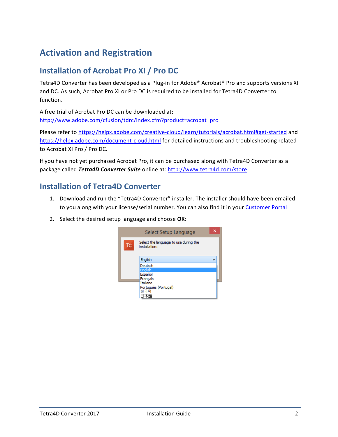# <span id="page-2-0"></span>**Activation and Registration**

## <span id="page-2-1"></span>**Installation of Acrobat Pro XI / Pro DC**

Tetra4D Converter has been developed as a Plug-in for Adobe® Acrobat® Pro and supports versions XI and DC. As such, Acrobat Pro XI or Pro DC is required to be installed for Tetra4D Converter to function.

A free trial of Acrobat Pro DC can be downloaded at: [http://www.adobe.com/cfusion/tdrc/index.cfm?product=acrobat\\_pro](http://www.adobe.com/cfusion/tdrc/index.cfm?product=acrobat_pro)

Please refer to<https://helpx.adobe.com/creative-cloud/learn/tutorials/acrobat.html#get-started> and <https://helpx.adobe.com/document-cloud.html> for detailed instructions and troubleshooting related to Acrobat XI Pro / Pro DC.

If you have not yet purchased Acrobat Pro, it can be purchased along with Tetra4D Converter as a package called *Tetra4D Converter Suite* online at:<http://www.tetra4d.com/store>

### <span id="page-2-2"></span>**Installation of Tetra4D Converter**

- 1. Download and run the "Tetra4D Converter" installer. The installer should have been emailed to you along with your license/serial number. You can also find it in your [Customer Portal](https://system.netsuite.com/core/media/media.nl?id=1512340&c=1268810&h=7381c1353a387fc86a78&_xt=.html)
- 2. Select the desired setup language and choose **OK**:

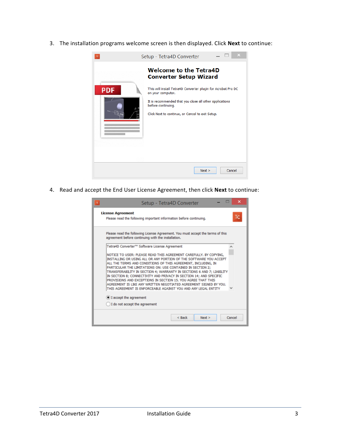3. The installation programs welcome screen is then displayed. Click **Next** to continue:



4. Read and accept the End User License Agreement, then click **Next** to continue:

| ×<br>Setup - Tetra4D Converter                                                                                                                                                                                                                                                                                                                                                                                                                                                                                                                                                                                              |
|-----------------------------------------------------------------------------------------------------------------------------------------------------------------------------------------------------------------------------------------------------------------------------------------------------------------------------------------------------------------------------------------------------------------------------------------------------------------------------------------------------------------------------------------------------------------------------------------------------------------------------|
| <b>License Agreement</b><br>ю<br>Please read the following important information before continuing.                                                                                                                                                                                                                                                                                                                                                                                                                                                                                                                         |
| Please read the following License Agreement. You must accept the terms of this<br>agreement before continuing with the installation.                                                                                                                                                                                                                                                                                                                                                                                                                                                                                        |
| Tetra4D Converter™ Software License Agreement                                                                                                                                                                                                                                                                                                                                                                                                                                                                                                                                                                               |
| NOTICE TO USER: PLEASE READ THIS AGREEMENT CAREFULLY. BY COPYING,<br>INSTALLING OR USING ALL OR ANY PORTION OF THE SOFTWARE YOU ACCEPT<br>ALL THE TERMS AND CONDITIONS OF THIS AGREEMENT, INCLUDING, IN<br>PARTICULAR THE LIMITATIONS ON: USE CONTAINED IN SECTION 2;<br>TRANSFERABILITY IN SECTION 4; WARRANTY IN SECTIONS 6 AND 7; LIABILITY<br>IN SECTION 8; CONNECTIVITY AND PRIVACY IN SECTION 14; AND SPECIFIC<br>PROVISIONS AND EXCEPTIONS IN SECTION 15, YOU AGREE THAT THIS<br>AGREEMENT IS LIKE ANY WRITTEN NEGOTIATED AGREEMENT SIGNED BY YOU.<br>THIS AGREEMENT IS ENFORCEABLE AGAINST YOU AND ANY LEGAL ENTITY |
| I accept the agreement                                                                                                                                                                                                                                                                                                                                                                                                                                                                                                                                                                                                      |
| I do not accept the agreement                                                                                                                                                                                                                                                                                                                                                                                                                                                                                                                                                                                               |
| $<$ Back<br>Cancel<br>Next >                                                                                                                                                                                                                                                                                                                                                                                                                                                                                                                                                                                                |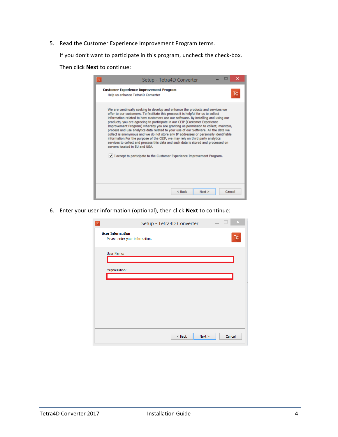5. Read the Customer Experience Improvement Program terms.

If you don't want to participate in this program, uncheck the check-box.

Then click **Next** to continue:

| ×<br>Setup - Tetra4D Converter                                                                                                                                                                                                                                                                                                                                                                                                                                                                                                                                                                                                                                                                                                                                                                                                                                                                    |
|---------------------------------------------------------------------------------------------------------------------------------------------------------------------------------------------------------------------------------------------------------------------------------------------------------------------------------------------------------------------------------------------------------------------------------------------------------------------------------------------------------------------------------------------------------------------------------------------------------------------------------------------------------------------------------------------------------------------------------------------------------------------------------------------------------------------------------------------------------------------------------------------------|
| <b>Customer Experience Improvement Program</b><br>Help us enhance Tetra4D Converter                                                                                                                                                                                                                                                                                                                                                                                                                                                                                                                                                                                                                                                                                                                                                                                                               |
| We are continually seeking to develop and enhance the products and services we<br>offer to our customers. To facilitate this process it is helpful for us to collect<br>information related to how customers use our software. By installing and using our<br>products, you are agreeing to participate in our CEIP (Customer Experience<br>Improvement Program) whereby you are granting us permission to collect, maintain,<br>process and use analytics data related to your use of our Software. All the data we<br>collect is anonymous and we do not store any IP addresses or personally identifiable<br>information. For the purpose of the CEIP, we may rely on third party analytics<br>services to collect and process this data and such data is stored and processed on<br>servers located in FU and USA.<br>I accept to participate to the Customer Experience Improvement Program. |
| $<$ Back<br>Cancel<br>Next >                                                                                                                                                                                                                                                                                                                                                                                                                                                                                                                                                                                                                                                                                                                                                                                                                                                                      |

6. Enter your user information (optional), then click **Next** to continue:

| $\times$<br>Setup - Tetra4D Converter<br>$\mathsf{T}\mathsf{C}$                     |
|-------------------------------------------------------------------------------------|
| <b>User Information</b><br>$\mathsf{T}\mathsf{C}$<br>Please enter your information. |
| User Name:                                                                          |
| Organization:                                                                       |
|                                                                                     |
|                                                                                     |
|                                                                                     |
|                                                                                     |
| Cancel<br>$<$ Back<br>Next                                                          |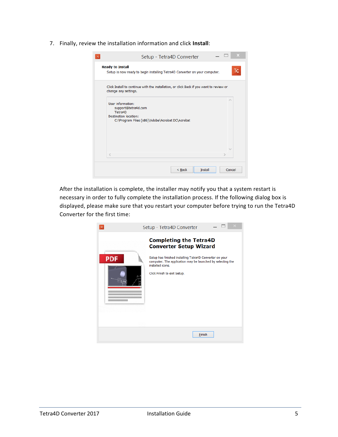7. Finally, review the installation information and click **Install**:

| Setup - Tetra4D Converter                                                                                                              |
|----------------------------------------------------------------------------------------------------------------------------------------|
| <b>Ready to Install</b><br>TC<br>Setup is now ready to begin installing Tetra4D Converter on your computer.                            |
| Click Install to continue with the installation, or click Back if you want to review or<br>change any settings.                        |
| User information:<br>support@tetra4d.com<br>Tetra4D<br><b>Destination location:</b><br>C:\Program Files (x86)\Adobe\Acrobat DC\Acrobat |
| ₹                                                                                                                                      |
| $<$ Back<br><b>Install</b><br>Cancel                                                                                                   |

After the installation is complete, the installer may notify you that a system restart is necessary in order to fully complete the installation process. If the following dialog box is displayed, please make sure that you restart your computer before trying to run the Tetra4D Converter for the first time:

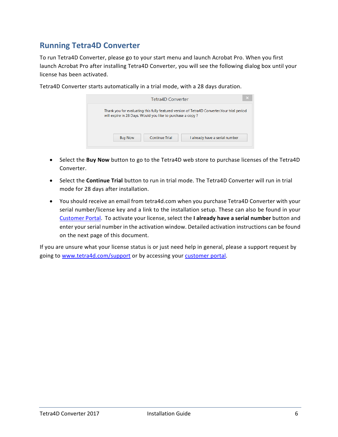## <span id="page-6-0"></span>**Running Tetra4D Converter**

To run Tetra4D Converter, please go to your start menu and launch Acrobat Pro. When you first launch Acrobat Pro after installing Tetra4D Converter, you will see the following dialog box until your license has been activated.

| Tetra4D Converter                                                                                                                                          | $\boldsymbol{\times}$          |  |  |  |  |
|------------------------------------------------------------------------------------------------------------------------------------------------------------|--------------------------------|--|--|--|--|
| Thank you for evaluating this fully featured version of Tetra4D Converter. Your trial period<br>will expire in 28 Days. Would you like to purchase a copy? |                                |  |  |  |  |
| Continue Trial<br><b>Buy Now</b>                                                                                                                           | I already have a serial number |  |  |  |  |

Tetra4D Converter starts automatically in a trial mode, with a 28 days duration.

- Select the **Buy Now** button to go to the Tetra4D web store to purchase licenses of the Tetra4D Converter.
- Select the **Continue Trial** button to run in trial mode. The Tetra4D Converter will run in trial mode for 28 days after installation.
- You should receive an email from tetra4d.com when you purchase Tetra4D Converter with your serial number/license key and a link to the installation setup. These can also be found in your [Customer Portal.](https://system.netsuite.com/core/media/media.nl?id=1512340&c=1268810&h=7381c1353a387fc86a78&_xt=.html) To activate your license, select the **I already have a serial number** button and enter your serial number in the activation window. Detailed activation instructions can be found on the next page of this document.

If you are unsure what your license status is or just need help in general, please a support request by going to [www.tetra4d.com/support](http://www.tetra4d.com/support) or by accessing your [customer portal.](https://system.netsuite.com/core/media/media.nl?id=1512340&c=1268810&h=7381c1353a387fc86a78&_xt=.html)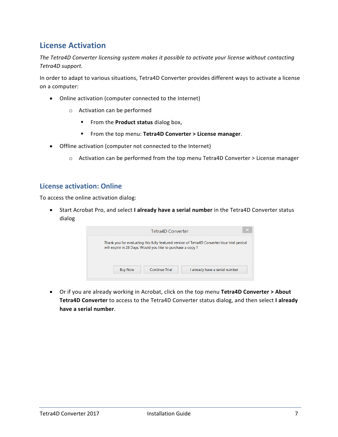### <span id="page-7-0"></span>**License Activation**

*The Tetra4D Converter licensing system makes it possible to activate your license without contacting Tetra4D support.*

In order to adapt to various situations, Tetra4D Converter provides different ways to activate a license on a computer:

- Online activation (computer connected to the Internet)
	- o Activation can be performed
		- **FIGM** From the **Product status** dialog box,
		- From the top menu: **Tetra4D Converter > License manager**.
- Offline activation (computer not connected to the Internet)
	- $\circ$  Activation can be performed from the top menu Tetra4D Converter > License manager

#### <span id="page-7-1"></span>**License activation: Online**

To access the online activation dialog:

• Start Acrobat Pro, and select **I already have a serial number** in the Tetra4D Converter status dialog

|                | Tetra4D Converter                                                                                                                                          |                                | $\times$ |  |  |  |
|----------------|------------------------------------------------------------------------------------------------------------------------------------------------------------|--------------------------------|----------|--|--|--|
|                | Thank you for evaluating this fully featured version of Tetra4D Converter. Your trial period<br>will expire in 28 Days. Would you like to purchase a copy? |                                |          |  |  |  |
| <b>Buy Now</b> | <b>Continue Trial</b>                                                                                                                                      | I already have a serial number |          |  |  |  |

• Or if you are already working in Acrobat, click on the top menu **Tetra4D Converter > About Tetra4D Converter** to access to the Tetra4D Converter status dialog, and then select **I already have a serial number**.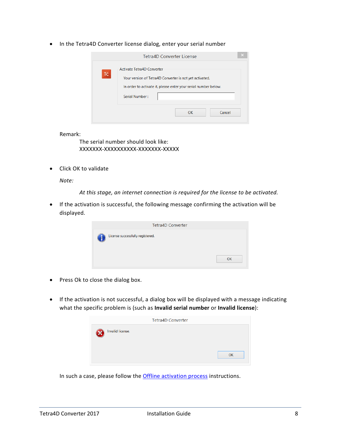• In the Tetra4D Converter license dialog, enter your serial number

|     | <b>Tetra4D Converter License</b>                                                                                                                         |        |
|-----|----------------------------------------------------------------------------------------------------------------------------------------------------------|--------|
| TC. | Activate Tetra4D Converter<br>Your version of Tetra4D Converter is not yet activated.<br>In order to activate it, please enter your serial number below. |        |
|     | Serial Number:                                                                                                                                           |        |
|     | <b>OK</b>                                                                                                                                                | Cancel |

Remark:

The serial number should look like: XXXXXXX-XXXXXXXXXX-XXXXXXX-XXXXX

• Click OK to validate

*Note:*

*At this stage, an internet connection is required for the license to be activated.*

• If the activation is successful, the following message confirming the activation will be displayed.

| <b>Tetra4D Converter</b>         |    |
|----------------------------------|----|
| License successfully registered. |    |
|                                  | OK |

- Press Ok to close the dialog box.
- If the activation is not successful, a dialog box will be displayed with a message indicating what the specific problem is (such as **Invalid serial number** or **Invalid license**):

|                  | <b>Tetra4D Converter</b> |
|------------------|--------------------------|
| Invalid license. |                          |
|                  | OK                       |

In such a case, please follow the **Offline activation process** instructions.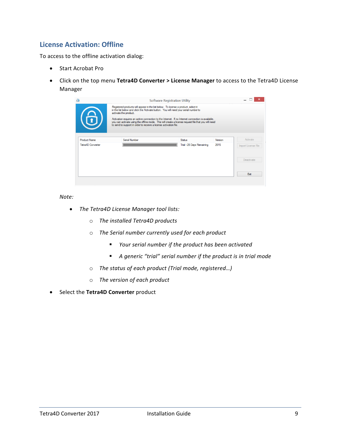#### <span id="page-9-0"></span>**License Activation: Offline**

To access to the offline activation dialog:

- Start Acrobat Pro
- Click on the top menu **Tetra4D Converter > License Manager** to access to the Tetra4D License Manager

| $\Phi$<br>6         | Registered products will appear in the list below. To license a product, select it<br>in the list below and click the Activate button. You will need your serial number to<br>activate the product.<br>Activation requires an active connection to the Internet. If no Internet connection is available,<br>you can activate using the offline mode. This will create a license request file that you will need<br>to send to support in order to receive a license activation file. | Software Registration Utility |         |                     |
|---------------------|--------------------------------------------------------------------------------------------------------------------------------------------------------------------------------------------------------------------------------------------------------------------------------------------------------------------------------------------------------------------------------------------------------------------------------------------------------------------------------------|-------------------------------|---------|---------------------|
| <b>Product Name</b> | Serial Number                                                                                                                                                                                                                                                                                                                                                                                                                                                                        | <b>Status</b>                 | Version | Activate            |
| Tetra4D Converter   |                                                                                                                                                                                                                                                                                                                                                                                                                                                                                      | Trial - 28 Days Remaining     | 2015    | Import License File |
|                     |                                                                                                                                                                                                                                                                                                                                                                                                                                                                                      |                               |         | Deactivate          |
|                     |                                                                                                                                                                                                                                                                                                                                                                                                                                                                                      |                               |         |                     |

*Note:*

- *The Tetra4D License Manager tool lists:*
	- o *The installed Tetra4D products*
	- o *The Serial number currently used for each product*
		- *Your serial number if the product has been activated*
		- *A generic "trial" serial number if the product is in trial mode*
	- o *The status of each product (Trial mode, registered…)*
	- o *The version of each product*
- Select the **Tetra4D Converter** product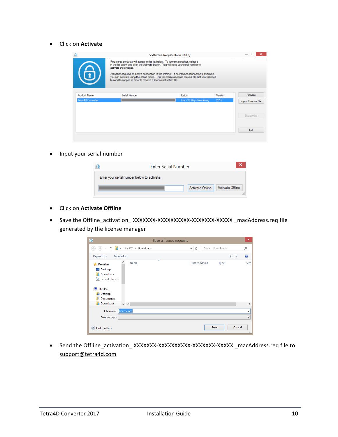• Click on **Activate**

| $\Phi$<br>6                                     | Registered products will appear in the list below. To license a product, select it<br>in the list below and click the Activate button. You will need your serial number to<br>activate the product.<br>Activation requires an active connection to the Internet. If no Internet connection is available,<br>you can activate using the offline mode. This will create a license request file that you will need<br>to send to support in order to receive a license activation file. | Software Registration Utility              |                 |                                 |
|-------------------------------------------------|--------------------------------------------------------------------------------------------------------------------------------------------------------------------------------------------------------------------------------------------------------------------------------------------------------------------------------------------------------------------------------------------------------------------------------------------------------------------------------------|--------------------------------------------|-----------------|---------------------------------|
| <b>Product Name</b><br><b>Tetra4D Converter</b> | Serial Number                                                                                                                                                                                                                                                                                                                                                                                                                                                                        | <b>Status</b><br>Trial - 28 Days Remaining | Version<br>2015 | Activate<br>Import License File |
|                                                 |                                                                                                                                                                                                                                                                                                                                                                                                                                                                                      |                                            |                 | Deactivate                      |
|                                                 |                                                                                                                                                                                                                                                                                                                                                                                                                                                                                      |                                            |                 | Exit                            |

• Input your serial number

| <b>Enter Serial Number</b>                  |
|---------------------------------------------|
| Enter your serial number below to activate. |
| Activate Online   Activate Offline          |

- Click on **Activate Offline**
- Save the Offline\_activation\_ XXXXXXX-XXXXXXXXXX-XXXXXXX-XXXXX \_macAddress.req file generated by the license manager

| $\blacktriangleright$                                                                                                        |                                    | Save a license request |                  | $\boldsymbol{\times}$         |
|------------------------------------------------------------------------------------------------------------------------------|------------------------------------|------------------------|------------------|-------------------------------|
| $(\Leftarrow)$<br>$(\Rightarrow)$<br>Ϋ                                                                                       | $\mathbf{a}$ > This PC > Downloads | Ċ<br>v.                | Search Downloads | ρ                             |
| Organize $\blacktriangledown$                                                                                                | New folder                         |                        |                  | ⊪<br>Ø                        |
| <b>X</b> Favorites<br><b>Desktop</b><br>Downloads<br>ln.<br>Recent places<br>侧 This PC<br><b>Desktop</b><br><b>Documents</b> | ×<br>Name                          | Date modified          | Type             | Size                          |
| Downloads<br>Uń.                                                                                                             | $\vee$ $\angle$                    |                        |                  | $\rightarrow$                 |
| File name:                                                                                                                   | license.req                        |                        |                  | v                             |
| Save as type:                                                                                                                |                                    |                        |                  | v                             |
| <b>Hide Folders</b>                                                                                                          |                                    |                        | Save             | Cancel<br>$\hat{\mathcal{M}}$ |

• Send the Offline\_activation\_ XXXXXXX-XXXXXXXXXX-XXXXXXX-XXXXX \_macAddress.req file to [support@tetra4d.com](mailto:support@tetra4d.com)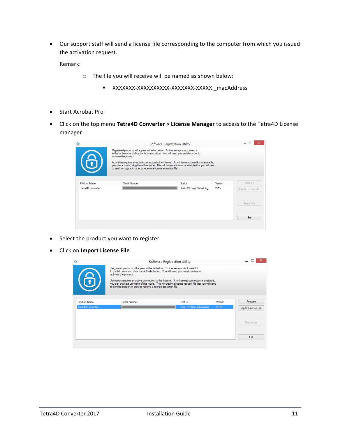• Our support staff will send a license file corresponding to the computer from which you issued the activation request.

Remark:

- o The file you will receive will be named as shown below:
	- XXXXXXX-XXXXXXXXXX-XXXXXXX-XXXXX \_macAddress
- Start Acrobat Pro
- Click on the top menu **Tetra4D Converter > License Manager** to access to the Tetra4D License manager

|                     | Registered products will appear in the list below. To license a product, select it<br>in the list below and click the Activate button. You will need your serial number to<br>activate the product.<br>to send to support in order to receive a license activation file. | Activation requires an active connection to the Internet. If no Internet connection is available,<br>you can activate using the offline mode. This will create a license request file that you will need |         |                     |
|---------------------|--------------------------------------------------------------------------------------------------------------------------------------------------------------------------------------------------------------------------------------------------------------------------|----------------------------------------------------------------------------------------------------------------------------------------------------------------------------------------------------------|---------|---------------------|
| <b>Product Name</b> | Serial Number                                                                                                                                                                                                                                                            | <b>Status</b>                                                                                                                                                                                            | Version | Activate            |
| Tetra4D Converter   |                                                                                                                                                                                                                                                                          | Trial - 28 Days Remaining                                                                                                                                                                                | 2015    | Import License File |
|                     |                                                                                                                                                                                                                                                                          |                                                                                                                                                                                                          |         | Deactivate          |
|                     |                                                                                                                                                                                                                                                                          |                                                                                                                                                                                                          |         |                     |

- Select the product you want to register
- Click on **Import License File**

|                          | Registered products will appear in the list below. To license a product, select it<br>in the list below and click the Activate button. You will need your serial number to<br>activate the product.                                                                           | Software Registration Utility |         |                     |
|--------------------------|-------------------------------------------------------------------------------------------------------------------------------------------------------------------------------------------------------------------------------------------------------------------------------|-------------------------------|---------|---------------------|
|                          | Activation requires an active connection to the Internet. If no Internet connection is available.<br>you can activate using the offline mode. This will create a license request file that you will need<br>to send to support in order to receive a license activation file. |                               |         |                     |
| <b>Product Name</b>      | Serial Number                                                                                                                                                                                                                                                                 | <b>Status</b>                 | Version | Activate            |
| <b>Tetra4D Converter</b> |                                                                                                                                                                                                                                                                               | Trial - 28 Days Remaining     | 2015    | Import License File |
|                          |                                                                                                                                                                                                                                                                               |                               |         | <b>Deactivate</b>   |
|                          |                                                                                                                                                                                                                                                                               |                               |         |                     |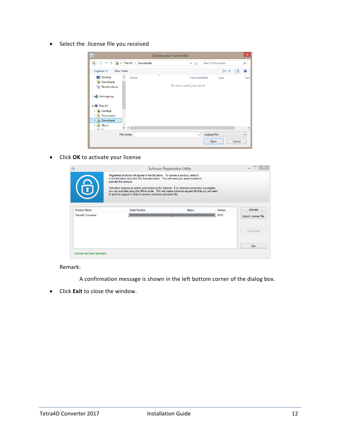• Select the .license file you received

| $\blacktriangleright$                                                                                              |                          | Choose your license file                     |                                     | $\boldsymbol{\mathsf{x}}$  |
|--------------------------------------------------------------------------------------------------------------------|--------------------------|----------------------------------------------|-------------------------------------|----------------------------|
| $\left(\bigarrow$<br>$\Rightarrow$                                                                                 | This PC > Downloads<br>× | Ċ<br>$\vee$                                  | Search Downloads<br>Q               |                            |
| Organize $\blacktriangleright$                                                                                     | New folder               |                                              | <b>距</b><br>Ш                       | $\odot$                    |
| Desktop<br><b>Downloads</b><br><b>E</b> Recent places                                                              | ×<br>۸<br>Name           | Date modified<br>No items match your search. | Type                                | Size                       |
| <b>B</b> Homegroup<br>$\triangleq$ $\parallel$ This PC                                                             |                          |                                              |                                     |                            |
| <b>Desktop</b><br>$\triangleright$<br><b>Documents</b><br>D<br><b>Downloads</b><br>$\triangleright$<br>Music<br>D. |                          |                                              |                                     |                            |
| <b>NEW YORK</b>                                                                                                    | $\vee$ <<br>File name:   | $\checkmark$                                 | License File<br>v<br>Cancel<br>Open | $\rightarrow$<br>$\vec{m}$ |

• Click **OK** to activate your license

|                            | <b>Software Registration Utility</b>                                                                                                                                                                                                                                          |               |         |                     |  |
|----------------------------|-------------------------------------------------------------------------------------------------------------------------------------------------------------------------------------------------------------------------------------------------------------------------------|---------------|---------|---------------------|--|
|                            | Registered products will appear in the list below. To license a product, select it<br>in the list below and click the Activate button. You will need your serial number to<br>activate the product.                                                                           |               |         |                     |  |
|                            | Activation requires an active connection to the Internet. If no Internet connection is available,<br>you can activate using the offline mode. This will create a license request file that you will need<br>to send to support in order to receive a license activation file. |               |         |                     |  |
| <b>Product Name</b>        | Serial Number                                                                                                                                                                                                                                                                 | <b>Status</b> | Version | Activate            |  |
| Tetra4D Converter          |                                                                                                                                                                                                                                                                               |               | 2015    | Import License File |  |
|                            |                                                                                                                                                                                                                                                                               |               |         | Deactivate          |  |
|                            |                                                                                                                                                                                                                                                                               |               |         | Exit                |  |
| License has been activated |                                                                                                                                                                                                                                                                               |               |         |                     |  |

Remark:

A confirmation message is shown in the left bottom corner of the dialog box.

• Click **Exit** to close the window.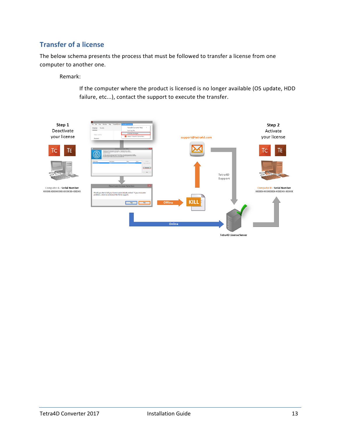#### <span id="page-13-0"></span>**Transfer of a license**

The below schema presents the process that must be followed to transfer a license from one computer to another one.

Remark:

If the computer where the product is licensed is no longer available (OS update, HDD failure, etc...), contact the support to execute the transfer.